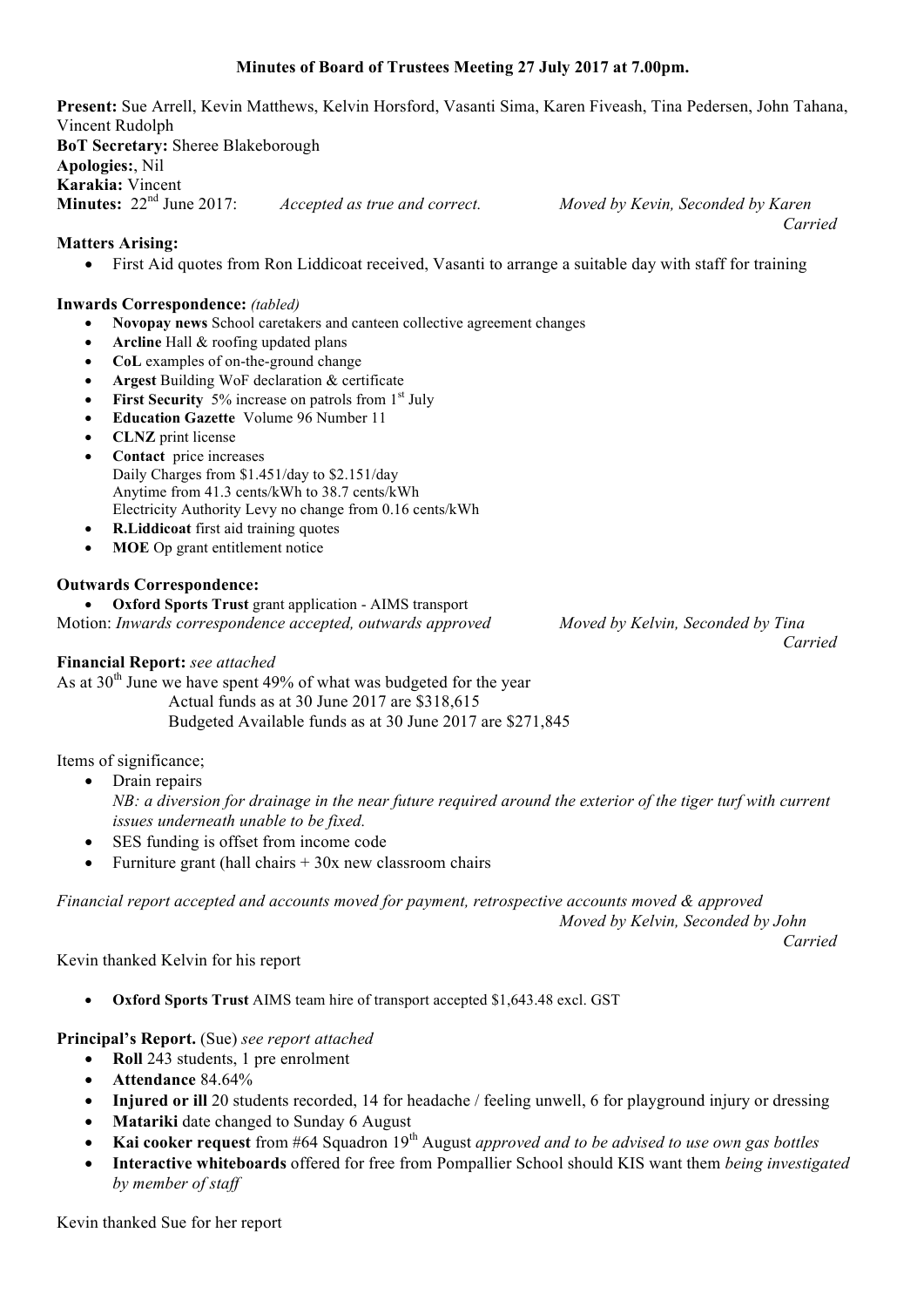## **Minutes of Board of Trustees Meeting 27 July 2017 at 7.00pm.**

**Present:** Sue Arrell, Kevin Matthews, Kelvin Horsford, Vasanti Sima, Karen Fiveash, Tina Pedersen, John Tahana, Vincent Rudolph **BoT Secretary:** Sheree Blakeborough **Apologies:**, Nil **Karakia:** Vincent<br>**Minutes:** 22<sup>nd</sup> June 2017 **Minutes:** 22nd June 2017: *Accepted as true and correct. Moved by Kevin, Seconded by Karen Carried*

#### **Matters Arising:**

• First Aid quotes from Ron Liddicoat received, Vasanti to arrange a suitable day with staff for training

#### **Inwards Correspondence:** *(tabled)*

- **Novopay news** School caretakers and canteen collective agreement changes
- Arcline Hall & roofing updated plans
- **CoL** examples of on-the-ground change
- **Argest** Building WoF declaration & certificate
- **First Security** 5% increase on patrols from 1<sup>st</sup> July
- **Education Gazette** Volume 96 Number 11
- **CLNZ** print license
- **Contact** price increases Daily Charges from \$1.451/day to \$2.151/day Anytime from 41.3 cents/kWh to 38.7 cents/kWh Electricity Authority Levy no change from 0.16 cents/kWh
- **R.Liddicoat** first aid training quotes
- **MOE** Op grant entitlement notice

### **Outwards Correspondence:**

• **Oxford Sports Trust** grant application - AIMS transport Motion: *Inwards correspondence accepted, outwards approved Moved by Kelvin, Seconded by Tina*

#### **Financial Report:** *see attached*

As at  $30<sup>th</sup>$  June we have spent 49% of what was budgeted for the year Actual funds as at 30 June 2017 are \$318,615 Budgeted Available funds as at 30 June 2017 are \$271,845

Items of significance;

• Drain repairs

*NB: a diversion for drainage in the near future required around the exterior of the tiger turf with current issues underneath unable to be fixed.*

- SES funding is offset from income code
- Furniture grant (hall chairs  $+30x$  new classroom chairs

*Financial report accepted and accounts moved for payment, retrospective accounts moved & approved*

*Moved by Kelvin, Seconded by John*

*Carried*

#### Kevin thanked Kelvin for his report

• **Oxford Sports Trust** AIMS team hire of transport accepted \$1,643.48 excl. GST

## **Principal's Report.** (Sue) *see report attached*

- **Roll** 243 students, 1 pre enrolment
- **Attendance** 84.64%
- **Injured or ill** 20 students recorded, 14 for headache / feeling unwell, 6 for playground injury or dressing
- **Matariki** date changed to Sunday 6 August
- **Kai cooker request** from #64 Squadron 19<sup>th</sup> August *approved and to be advised to use own gas bottles*
- **Interactive whiteboards** offered for free from Pompallier School should KIS want them *being investigated by member of staff*

Kevin thanked Sue for her report

*Carried*